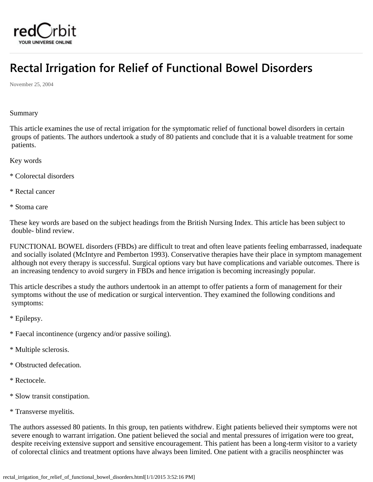

# **Rectal Irrigation for Relief of Functional Bowel Disorders**

November 25, 2004

#### Summary

This article examines the use of rectal irrigation for the symptomatic relief of functional bowel disorders in certain groups of patients. The authors undertook a study of 80 patients and conclude that it is a valuable treatment for some patients.

- Key words
- \* Colorectal disorders
- \* Rectal cancer
- \* Stoma care

These key words are based on the subject headings from the British Nursing Index. This article has been subject to double- blind review.

FUNCTIONAL BOWEL disorders (FBDs) are difficult to treat and often leave patients feeling embarrassed, inadequate and socially isolated (McIntyre and Pemberton 1993). Conservative therapies have their place in symptom management although not every therapy is successful. Surgical options vary but have complications and variable outcomes. There is an increasing tendency to avoid surgery in FBDs and hence irrigation is becoming increasingly popular.

This article describes a study the authors undertook in an attempt to offer patients a form of management for their symptoms without the use of medication or surgical intervention. They examined the following conditions and symptoms:

- \* Epilepsy.
- \* Faecal incontinence (urgency and/or passive soiling).
- \* Multiple sclerosis.
- \* Obstructed defecation.
- \* Rectocele.
- \* Slow transit constipation.
- \* Transverse myelitis.

The authors assessed 80 patients. In this group, ten patients withdrew. Eight patients believed their symptoms were not severe enough to warrant irrigation. One patient believed the social and mental pressures of irrigation were too great, despite receiving extensive support and sensitive encouragement. This patient has been a long-term visitor to a variety of colorectal clinics and treatment options have always been limited. One patient with a gracilis neosphincter was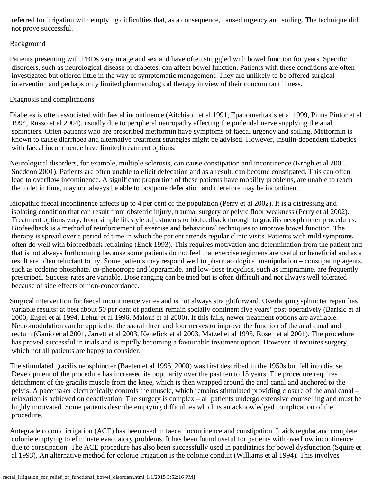referred for irrigation with emptying difficulties that, as a consequence, caused urgency and soiling. The technique did not prove successful.

## Background

Patients presenting with FBDs vary in age and sex and have often struggled with bowel function for years. Specific disorders, such as neurological disease or diabetes, can affect bowel function. Patients with these conditions are often investigated but offered little in the way of symptomatic management. They are unlikely to be offered surgical intervention and perhaps only limited pharmacological therapy in view of their concomitant illness.

## Diagnosis and complications

Diabetes is often associated with faecal incontinence (Aitchison et al 1991, Epanomeritakis et al 1999, Pinna Pintor et al 1994, Russo et al 2004), usually due to peripheral neuropathy affecting the pudendal nerve supplying the anal sphincters. Often patients who are prescribed metformin have symptoms of faecal urgency and soiling. Metformin is known to cause diarrhoea and alternative treatment strategies might be advised. However, insulin-dependent diabetics with faecal incontinence have limited treatment options.

Neurological disorders, for example, multiple sclerosis, can cause constipation and incontinence (Krogh et al 2001, Sneddon 2001). Patients are often unable to elicit defecation and as a result, can become constipated. This can often lead to overflow incontinence. A significant proportion of these patients have mobility problems, are unable to reach the toilet in time, may not always be able to postpone defecation and therefore may be incontinent.

Idiopathic faecal incontinence affects up to 4 per cent of the population (Perry et al 2002). It is a distressing and isolating condition that can result from obstetric injury, trauma, surgery or pelvic floor weakness (Perry et al 2002). Treatment options vary, from simple lifestyle adjustments to biofeedback through to gracilis neosphincter procedures. Biofeedback is a method of reinforcement of exercise and behavioural techniques to improve bowel function. The therapy is spread over a period of time in which the patient attends regular clinic visits. Patients with mild symptoms often do well with biofeedback retraining (Enck 1993). This requires motivation and determination from the patient and that is not always forthcoming because some patients do not feel that exercise regimens are useful or beneficial and as a result are often reluctant to try. Some patients may respond well to pharmacological manipulation – constipating agents, such as codeine phosphate, co-phenotrope and loperamide, and low-dose tricyclics, such as imipramine, are frequently prescribed. Success rates are variable. Dose ranging can be tried but is often difficult and not always well tolerated because of side effects or non-concordance.

Surgical intervention for faecal incontinence varies and is not always straightforward. Overlapping sphincter repair has variable results: at best about 50 per cent of patients remain socially continent five years' post-operatively (Barisic et al 2000, Engel et al 1994, Lehur et al 1996, Malouf et al 2000). If this fails, newer treatment options are available. Neuromodulation can be applied to the sacral three and four nerves to improve the function of the anal canal and rectum (Ganio et al 2001, Jarrett et al 2003, Kenefick et al 2003, Matzel et al 1995, Rosen et al 2001). The procedure has proved successful in trials and is rapidly becoming a favourable treatment option. However, it requires surgery, which not all patients are happy to consider.

The stimulated gracilis neosphincter (Baeten et al 1995, 2000) was first described in the 1950s but fell into disuse. Development of the procedure has increased its popularity over the past ten to 15 years. The procedure requires detachment of the gracilis muscle from the knee, which is then wrapped around the anal canal and anchored to the pelvis. A pacemaker electronically controls the muscle, which remains stimulated providing closure of the anal canal – relaxation is achieved on deactivation. The surgery is complex – all patients undergo extensive counselling and must be highly motivated. Some patients describe emptying difficulties which is an acknowledged complication of the procedure.

Antegrade colonic irrigation (ACE) has been used in faecal incontinence and constipation. It aids regular and complete colonie emptying to eliminate evacuatory problems. It has been found useful for patients with overflow incontinence due to constipation. The ACE procedure has also been successfully used in paediatrics for bowel dysfunction (Squire et al 1993). An alternative method for colonie irrigation is the colonie conduit (Williams et al 1994). This involves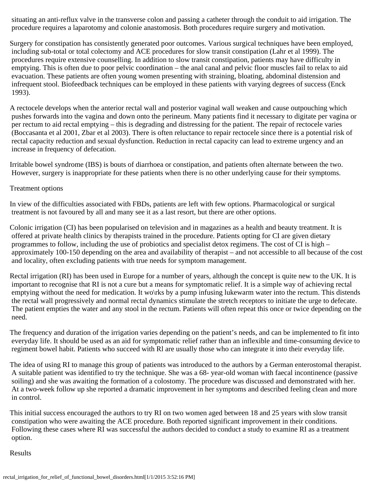situating an anti-reflux valve in the transverse colon and passing a catheter through the conduit to aid irrigation. The procedure requires a laparotomy and colonie anastomosis. Both procedures require surgery and motivation.

Surgery for constipation has consistently generated poor outcomes. Various surgical techniques have been employed, including sub-total or total colectomy and ACE procedures for slow transit constipation (Lahr et al 1999). The procedures require extensive counselling. In addition to slow transit constipation, patients may have difficulty in emptying. This is often due to poor pelvic coordination – the anal canal and pelvic floor muscles fail to relax to aid evacuation. These patients are often young women presenting with straining, bloating, abdominal distension and infrequent stool. Biofeedback techniques can be employed in these patients with varying degrees of success (Enck 1993).

A rectocele develops when the anterior rectal wall and posterior vaginal wall weaken and cause outpouching which pushes forwards into the vagina and down onto the perineum. Many patients find it necessary to digitate per vagina or per rectum to aid rectal emptying – this is degrading and distressing for the patient. The repair of rectocele varies (Boccasanta et al 2001, Zbar et al 2003). There is often reluctance to repair rectocele since there is a potential risk of rectal capacity reduction and sexual dysfunction. Reduction in rectal capacity can lead to extreme urgency and an increase in frequency of defecation.

Irritable bowel syndrome (IBS) is bouts of diarrhoea or constipation, and patients often alternate between the two. However, surgery is inappropriate for these patients when there is no other underlying cause for their symptoms.

#### Treatment options

In view of the difficulties associated with FBDs, patients are left with few options. Pharmacological or surgical treatment is not favoured by all and many see it as a last resort, but there are other options.

Colonic irrigation (CI) has been popularised on television and in magazines as a health and beauty treatment. It is offered at private health clinics by therapists trained in the procedure. Patients opting for CI are given dietary programmes to follow, including the use of probiotics and specialist detox regimens. The cost of CI is high – approximately 100-150 depending on the area and availability of therapist – and not accessible to all because of the cost and locality, often excluding patients with true needs for symptom management.

Rectal irrigation (RI) has been used in Europe for a number of years, although the concept is quite new to the UK. It is important to recognise that RI is not a cure but a means for symptomatic relief. It is a simple way of achieving rectal emptying without the need for medication. It wo\rks by a pump infusing lukewarm water into the rectum. This distends the rectal wall progressively and normal rectal dynamics stimulate the stretch receptors to initiate the urge to defecate. The patient empties the water and any stool in the rectum. Patients will often repeat this once or twice depending on the need.

The frequency and duration of the irrigation varies depending on the patient's needs, and can be implemented to fit into everyday life. It should be used as an aid for symptomatic relief rather than an inflexible and time-consuming device to regiment bowel habit. Patients who succeed with Rl are usually those who can integrate it into their everyday life.

The idea of using RI to manage this group of patients was introduced to the authors by a German enterostomal therapist. A suitable patient was identified to try the technique. She was a 68- year-old woman with faecal incontinence (passive soiling) and she was awaiting the formation of a colostomy. The procedure was discussed and demonstrated with her. At a two-week follow up she reported a dramatic improvement in her symptoms and described feeling clean and more in control.

This initial success encouraged the authors to try RI on two women aged between 18 and 25 years with slow transit constipation who were awaiting the ACE procedure. Both reported significant improvement in their conditions. Following these cases where RI was successful the authors decided to conduct a study to examine RI as a treatment option.

Results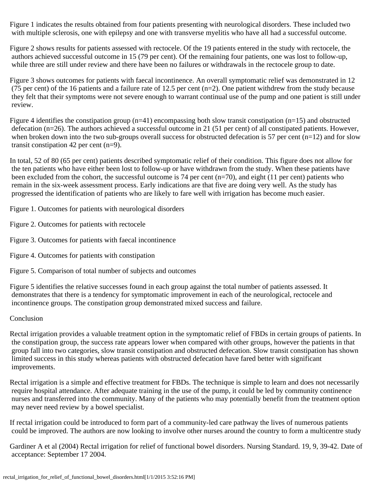Figure 1 indicates the results obtained from four patients presenting with neurological disorders. These included two with multiple sclerosis, one with epilepsy and one with transverse myelitis who have all had a successful outcome.

Figure 2 shows results for patients assessed with rectocele. Of the 19 patients entered in the study with rectocele, the authors achieved successful outcome in 15 (79 per cent). Of the remaining four patients, one was lost to follow-up, while three are still under review and there have been no failures or withdrawals in the rectocele group to date.

Figure 3 shows outcomes for patients with faecal incontinence. An overall symptomatic relief was demonstrated in 12 (75 per cent) of the 16 patients and a failure rate of 12.5 per cent  $(n=2)$ . One patient withdrew from the study because they felt that their symptoms were not severe enough to warrant continual use of the pump and one patient is still under review.

Figure 4 identifies the constipation group (n=41) encompassing both slow transit constipation (n=15) and obstructed defecation (n=26). The authors achieved a successful outcome in 21 (51 per cent) of all constipated patients. However, when broken down into the two sub-groups overall success for obstructed defecation is 57 per cent  $(n=12)$  and for slow transit constipation 42 per cent (n=9).

In total, 52 of 80 (65 per cent) patients described symptomatic relief of their condition. This figure does not allow for the ten patients who have either been lost to follow-up or have withdrawn from the study. When these patients have been excluded from the cohort, the successful outcome is 74 per cent (n=70), and eight (11 per cent) patients who remain in the six-week assessment process. Early indications are that five are doing very well. As the study has progressed the identification of patients who are likely to fare well with irrigation has become much easier.

Figure 1. Outcomes for patients with neurological disorders

- Figure 2. Outcomes for patients with rectocele
- Figure 3. Outcomes for patients with faecal incontinence
- Figure 4. Outcomes for patients with constipation
- Figure 5. Comparison of total number of subjects and outcomes

Figure 5 identifies the relative successes found in each group against the total number of patients assessed. It demonstrates that there is a tendency for symptomatic improvement in each of the neurological, rectocele and incontinence groups. The constipation group demonstrated mixed success and failure.

## Conclusion

Rectal irrigation provides a valuable treatment option in the symptomatic relief of FBDs in certain groups of patients. In the constipation group, the success rate appears lower when compared with other groups, however the patients in that group fall into two categories, slow transit constipation and obstructed defecation. Slow transit constipation has shown limited success in this study whereas patients with obstructed defecation have fared better with significant improvements.

Rectal irrigation is a simple and effective treatment for FBDs. The technique is simple to learn and does not necessarily require hospital attendance. After adequate training in the use of the pump, it could be led by community continence nurses and transferred into the community. Many of the patients who may potentially benefit from the treatment option may never need review by a bowel specialist.

If rectal irrigation could be introduced to form part of a community-led care pathway the lives of numerous patients could be improved. The authors are now looking to involve other nurses around the country to form a multicentre study

Gardiner A et al (2004) Rectal irrigation for relief of functional bowel disorders. Nursing Standard. 19, 9, 39-42. Date of acceptance: September 17 2004.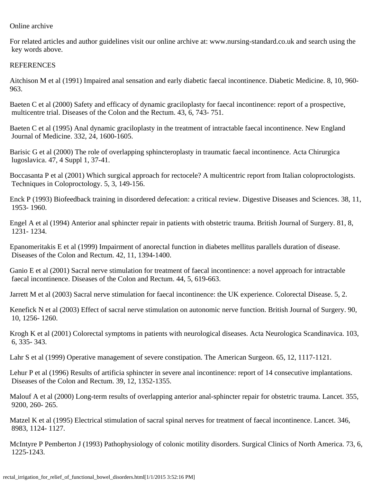#### Online archive

For related articles and author guidelines visit our online archive at: www.nursing-standard.co.uk and search using the key words above.

### **REFERENCES**

Aitchison M et al (1991) Impaired anal sensation and early diabetic faecal incontinence. Diabetic Medicine. 8, 10, 960- 963.

Baeten C et al (2000) Safety and efficacy of dynamic graciloplasty for faecal incontinence: report of a prospective, multicentre trial. Diseases of the Colon and the Rectum. 43, 6, 743- 751.

Baeten C et al (1995) Anal dynamic graciloplasty in the treatment of intractable faecal incontinence. New England Journal of Medicine. 332, 24, 1600-1605.

Barisic G et al (2000) The role of overlapping sphincteroplasty in traumatic faecal incontinence. Acta Chirurgica lugoslavica. 47, 4 Suppl 1, 37-41.

Boccasanta P et al (2001) Which surgical approach for rectocele? A multicentric report from Italian coloproctologists. Techniques in Coloproctology. 5, 3, 149-156.

Enck P (1993) Biofeedback training in disordered defecation: a critical review. Digestive Diseases and Sciences. 38, 11, 1953- 1960.

Engel A et al (1994) Anterior anal sphincter repair in patients with obstetric trauma. British Journal of Surgery. 81, 8, 1231- 1234.

Epanomeritakis E et al (1999) Impairment of anorectal function in diabetes mellitus parallels duration of disease. Diseases of the Colon and Rectum. 42, 11, 1394-1400.

Ganio E et al (2001) Sacral nerve stimulation for treatment of faecal incontinence: a novel approach for intractable faecal incontinence. Diseases of the Colon and Rectum. 44, 5, 619-663.

Jarrett M et al (2003) Sacral nerve stimulation for faecal incontinence: the UK experience. Colorectal Disease. 5, 2.

Kenefick N et al (2003) Effect of sacral nerve stimulation on autonomic nerve function. British Journal of Surgery. 90, 10, 1256- 1260.

Krogh K et al (2001) Colorectal symptoms in patients with neurological diseases. Acta Neurologica Scandinavica. 103, 6, 335- 343.

Lahr S et al (1999) Operative management of severe constipation. The American Surgeon. 65, 12, 1117-1121.

Lehur P et al (1996) Results of artificia sphincter in severe anal incontinence: report of 14 consecutive implantations. Diseases of the Colon and Rectum. 39, 12, 1352-1355.

Malouf A et al (2000) Long-term results of overlapping anterior anal-sphincter repair for obstetric trauma. Lancet. 355, 9200, 260- 265.

Matzel K et al (1995) Electrical stimulation of sacral spinal nerves for treatment of faecal incontinence. Lancet. 346, 8983, 1124- 1127.

McIntyre P Pemberton J (1993) Pathophysiology of colonic motility disorders. Surgical Clinics of North America. 73, 6, 1225-1243.